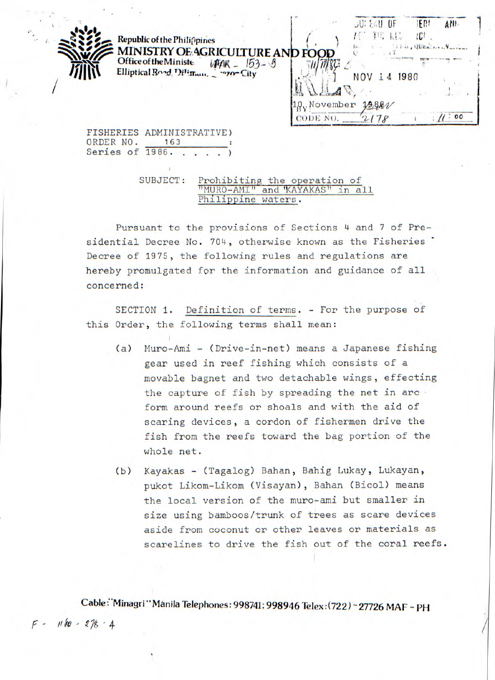|                        | Republic of the Philippines                       | <b>JUI EAU OF</b><br>EM<br>ANI.<br>TIE.<br>lCI |
|------------------------|---------------------------------------------------|------------------------------------------------|
|                        | MINISTRY OF AGRICULTURE AND FOOD                  | 115, QUELING VINCE                             |
| Office of the Ministe. | $153 - 9$<br>Elliptical Boad, Diliman, Pazon City | 1986<br>NOV<br>4                               |
|                        |                                                   |                                                |
|                        |                                                   | .November<br>18881<br>.00<br>CODE NO.          |

FISHERIES ADMINISTRATIVE) ORDER NO. 163 Series of 1986.

## SUBJECT: Prohibiting the operation of "MURO-AMI" and "KAYAKAS" in all Philippine waters.

Pursuant to the provisions of Sections 4 and 7 of Presidential Decree No. 704, otherwise known as the Fisheries Decree of 1975, the following rules and regulations are hereby promulgated for the information and guidance of all concerned:

SECTION 1. Definition of terms. - For the purpose of this Order, the following terms shall mean:

- (a) Muro-Ami (Drive-in-net) means a Japanese fishing gear used in reef fishing which consists of a movable bagnet and two detachable wings, effecting the capture of fish by spreading the net in arc form around reefs or shoals and with the aid of scaring devices, a cordon of fishermen drive the fish from the reefs toward the bag portion of the whole net.
- (b) Kayakas (Tagalog) Bahan, Bahig Lukay, Lukayan, pukot Likom-Likom (Visayan), Bahan (Bicol) means the local version of the muro-ami but smaller in size using bamboos/trunk of trees as scare devices aside from coconut or other leaves or materials as scarelines to drive the fish out of the coral reefs.

**Cable"Minagri"MAnila Telephones: 998741; 998946 Telex:(722) -27726 MAF -PH**   $F - 1110 - 278.4$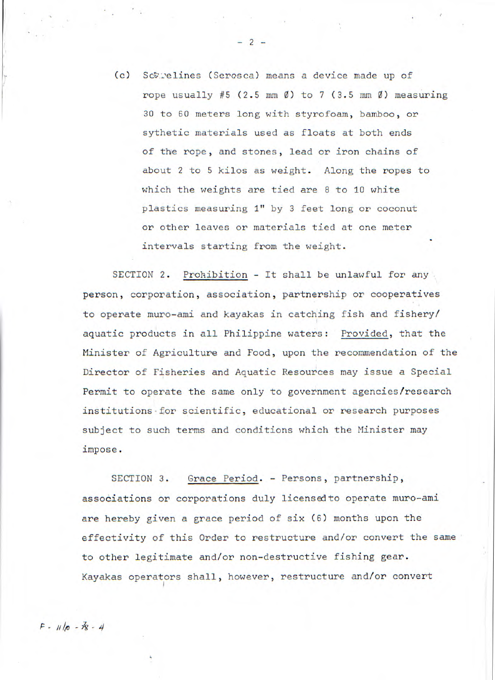| (c) Sctrelines (Serosca) means a device made up of                         |
|----------------------------------------------------------------------------|
| rope usually #5 (2.5 mm $\emptyset$ ) to 7 (3.5 mm $\emptyset$ ) measuring |
| 30 to 60 meters long with styrofoam, bamboo, or                            |
| sythetic materials used as floats at both ends                             |
| of the rope, and stones, lead or iron chains of                            |
| about 2 to 5 kilos as weight. Along the ropes to                           |
| which the weights are tied are 8 to 10 white                               |
| plastics measuring 1" by 3 feet long or coconut                            |
| or other leaves or materials tied at one meter                             |
| intervals starting from the weight.                                        |

 $-2-$ 

SECTION 2. Prohibition - It shall be unlawful for any person, corporation, association, partnership or cooperatives to operate muro-ami and kayakas in catching fish and fishery/ aquatic products in all Philippine waters: Provided, that the Minister of Agriculture and Food, upon the recommendation of the Director of Fisheries and Aquatic Resources may issue a Special Permit to operate the same only to government agencies/research institutions for scientific, educational or research purposes subject to such terms and conditions which the Minister may impose.

SECTION 3. Grace Period. - Persons, partnership, associations or corporations duly licensed to operate muro-ami are hereby given a grace period of six (6) months upon the effectivity of this Order to restructure and/or convert the same to other legitimate and/or non-destructive fishing gear. Kayakas operators shall, however, restructure and/or convert

 $F - 11/10 - 38 - 4$